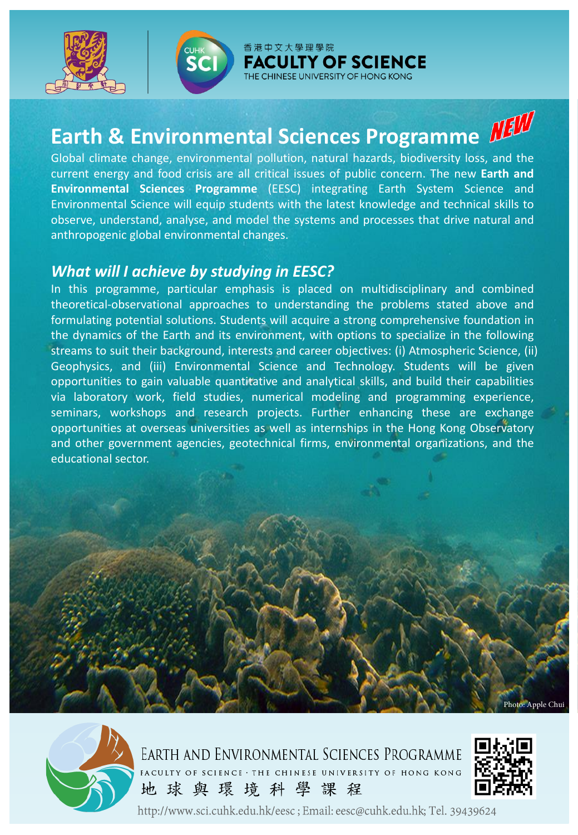



香港中文大學理學院 **FACULTY OF SCIENCE** UNIVERSITY OF HONG KONG

## **Earth & Environmental Sciences Programme**

Global climate change, environmental pollution, natural hazards, biodiversity loss, and the current energy and food crisis are all critical issues of public concern. The new **Earth and Environmental Sciences Programme** (EESC) integrating Earth System Science and Environmental Science will equip students with the latest knowledge and technical skills to observe, understand, analyse, and model the systems and processes that drive natural and anthropogenic global environmental changes.

## *What will I achieve by studying in EESC?*

In this programme, particular emphasis is placed on multidisciplinary and combined theoretical-observational approaches to understanding the problems stated above and formulating potential solutions. Students will acquire a strong comprehensive foundation in the dynamics of the Earth and its environment, with options to specialize in the following streams to suit their background, interests and career objectives: (i) Atmospheric Science, (ii) Geophysics, and (iii) Environmental Science and Technology. Students will be given opportunities to gain valuable quantitative and analytical skills, and build their capabilities via laboratory work, field studies, numerical modeling and programming experience, seminars, workshops and research projects. Further enhancing these are exchange opportunities at overseas universities as well as internships in the Hong Kong Observatory and other government agencies, geotechnical firms, environmental organizations, and the educational sector.



EARTH AND ENVIRONMENTAL SCIENCES PROGRAMME FACULTY OF SCIENCE · THE CHINESE UNIVERSITY OF HONG KONG 地球與環境科學課程



Photo: Apple Chui

http://www.sci.cuhk.edu.hk/eesc; Email: eesc@cuhk.edu.hk; Tel. 39439624